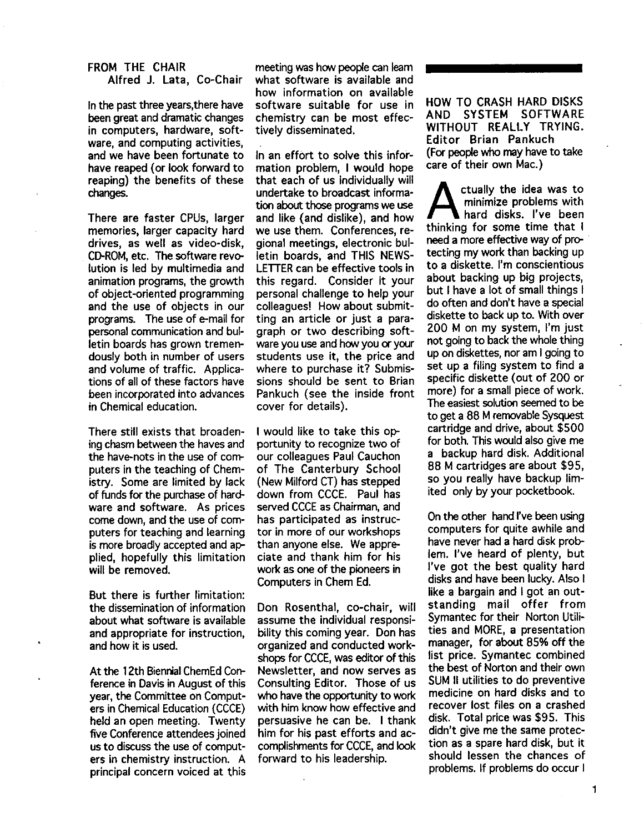# FROM THE CHAIR

Alfred J. Lata, Co-Chair

In the past three years, there have been great and dramatic changes in computers, hardware, software, and computing activities, and we have been fortunate to have reaped (or look forward to reaping) the benefits of these changes.

There are faster CPUs, larger memories, larger capacity hard drives, as well as video-disk, CD-ROM, etc. The software revolution is led by multimedia and animation programs, the growth of object-oriented programming and the use of objects in our programs. The use of e-mail for personal communication and bulletin boards has grown tremendously both in number of users and volume of traffic. Applications of all of these factors have been incorporated into advances in Chemical education.

There still exists that broadening chasm between the haves and the have-nots in the use of computers in the teaching of Chemistry. Some are limited by lack of funds for the purchase of hardware and software. As prices come down, and the use of computers for teaching and learning is more broadly accepted and applied, hopefully this limitation will be removed.

But there is further limitation: the dissemination of information about what software is available and appropriate for instruction, and how it is used.

At the 12th Biennial ChemEd Conference in Davis in August of this year, the Committee on Computers in Chemical Education (CCCE) held an open meeting. Twenty five Conference attendees joined us to discuss the use of computers in chemistry instruction. A principal concern voiced at this

meeting was how people can learn what software is available and how information on available software suitable for use in chemistry can be most effectively disseminated.

In an effort to solve this information problem, I would hope that each of us individually will undertake to broadcast information about those programs we use and like (and dislike), and how we use them. Conferences, regional meetings, electronic bulletin boards, and THIS NEWS-LETTER can be effective tools in this regard. Consider it your personal challenge to help your colleagues! How about submitting an article or just a paragraph or two describing software you use and how you or your students use it, the price and where to purchase it? Submissions should be sent to Brian Pankuch (see the inside front cover for details).

I would like to take this opportunity to recognize two of our colleagues Paul Cauchon of The Canterbury School (New Milford CT) has stepped down from CCCE. Paul has served CCCE as Chairman, and has participated as instructor in more of our workshops than anyone else. We appreciate and thank him for his work as one of the pioneers in Computers in Chern Ed.

Don Rosenthal, co-chair, will assume the individual responsibility this coming year. Don has organized and conducted workshops for CCCE, was editor of this Newsletter, and now serves as Consulting Editor. Those of us who have the opportunity to work with him know how effective and persuasive he can be. I thank him for his past efforts and accomplishments for CCCE, and look forward to his leadership.

HOW TO CRASH HARD DISKS AND SYSTEM SOFTWARE WITHOUT REALLY TRYING. Editor Brian Pankuch (For people who may have to take care of their own Mac.)

ctually the idea was to<br>minimize problems with<br>hard disks. I've been minimize problems with hard disks. I've been thinking for some time that I need a more effective way of protecting my work than backing up to a diskette. I'm conscientious about backing up big projects, but I have a lot of small things 1 do often and don't have a special diskette to back up to. With over 200 M on my system, I'm just not going to back the whole thing up on diskettes, nor am I going to set up a filing system to find a specific diskette (out of 200 or more) for a small piece of work. The easiest solution seemed to be to get a 88 M removable Sysquest cartridge and drive, about \$500 for both. This would also give me a backup hard disk. Additional 88 M cartridges are about \$95, so you really have backup limited only by your pocketbook.

On the other hand I've been using computers for quite awhile and have never had a hard disk problem. I've heard of plenty, but I've got the best quality hard disks and have been lucky. Also I like a bargain and I got an outstanding mail offer from Symantec for their Norton Utilities and MORE, a presentation manager, for about 85% off the list price. Symantec combined the best of Norton and their own SUM II utilities to do preventive medicine on hard disks and to recover lost files on a crashed disk. Total price was \$95. This didn't give me the same protection as a spare hard disk, but it should lessen the chances of problems. If problems do occur I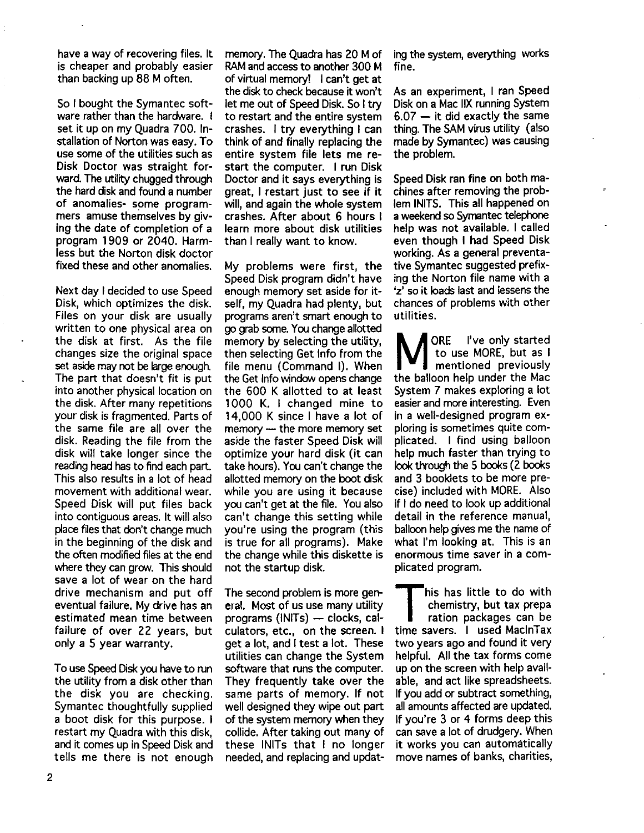have a way of recovering files. It is cheaper and probably easier than backing up 88 M often.

So I bought the Symantec software rather than the hardware. I set it up on my Quadra 700. Installation of Norton was easy. To use some of the utilities such as Disk Doctor was straight forward. The utility chugged through the hard disk and found a number of anomalies- some programmers amuse themselves by giving the date of completion of <sup>a</sup> program 1909 or 2040. Harmless but the Norton disk doctor fixed these and other anomalies.

Next day I decided to use Speed Disk, which optimizes the disk. Files on your disk are usually written to one physical area on the disk at first. As the file changes size the original space set aside may not be large enough. The part that doesn't fit is put into another physical location on the disk. After many repetitions your disk is fragmented. Parts of the same file are all over the disk. Reading the file from the disk will take longer since the reading head has to find each part. This also results in a lot of head movement with additional wear. Speed Disk will put files back into contiguous areas. It will also place files that don't change much in the beginning of the disk and the often modified files at the end where they can grow. This should save a lot of wear on the hard drive mechanism and put off eventual failure. My drive has an estimated mean time between failure of over 22 years, but only a 5 year warranty.

To use Speed Disk you have to run the utility from a disk other than the disk you are checking. Symantec thoughtfully supplied a boot disk for this purpose. I restart my Quadra with this disk, and it comes up in Speed Disk and tells me there is not enough

memory. The Quadra has 20 M of RAM and access to another 300 M of virtual memory! I can't get at the disk to check because it won't let me out of Speed Disk. So I try to restart and the entire system crashes. I try everything I can think of and finally replacing the entire system file lets me restart the computer. I run Disk Doctor and it says everything is great, I restart just to see if it will, and again the whole system crashes. After about 6 hours I learn more about disk utilities than I really want to know.

My problems were first, the Speed Disk program didn't have enough memory set aside for itself, my Quadra had plenty, but programs aren't smart enough to go grab some. You change allotted memory by selecting the utility, then selecting Get Info from the file menu (Command 1). When the Get Info window opens change the 600 K allotted to at least 1000 K. I changed mine to 14,000 K since I have a lot of memory - the more memory set aside the faster Speed Disk will optimize your hard disk (it can take hours). You can't change the allotted memory on the boot disk while you are using it because you can't get at the file. You also can't change this setting while you're using the program (this is true for all programs). Make the change while this diskette is not the startup disk.

The second problem is more general. Most of us use many utility programs ( $INTs$ )  $-$  clocks, calculators, etc., on the screen. I get a lot, and I test a lot. These utilities can change the System software that runs the computer. They frequently take over the same parts of memory. If not well designed they wipe out part of the system memory when they collide. After taking out many of these INITs that I no longer needed, and replacing and updating the system, everything works fine.

As an experiment, I ran Speed Disk on a Mac IIX running System  $6.07 - it$  did exactly the same thing. The SAM virus utility (also made by Symantec) was causing the problem.

Speed Disk ran fine on both machines after removing the problem INITS. This all happened on a weekend so Symantec telephone help was not available. I called even though I had Speed Disk working. As a general preventative Symantec suggested prefixing the Norton file name with a 'z' so it loads last and lessens the chances of problems with other utilities.

ORE I've only started<br>to use MORE, but as I<br>mentioned previously to use MORE, but as I mentioned previously the balloon help under the Mac System 7 makes exploring a lot easier and more interesting. Even in a well-designed program exploring is sometimes quite complicated. I find using balloon help much faster than trying to look through the 5 books (2 books and 3 booklets to be more precise) included with MORE. Also if I do need to look up additional detail in the reference manual, balloon help gives me the name of what I'm looking at. This is an enormous time saver in a complicated program.

his has little to do with chemistry, but tax prepa ration packages can be time savers. I used MaclnTax two years ago and found it very helpful. All the tax forms come up on the screen with help available, and act like spreadsheets. If you add or subtract something, all amounts affected are updated. If you're 3 or 4 forms deep this can save a lot of drudgery. When it works you can automatically move names of banks, charities,